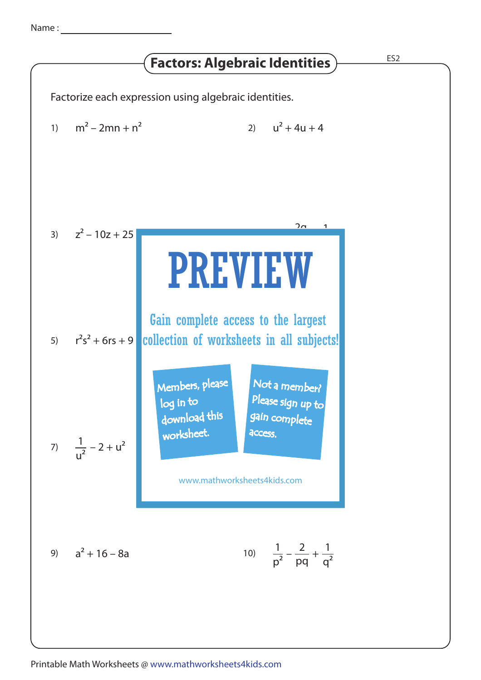